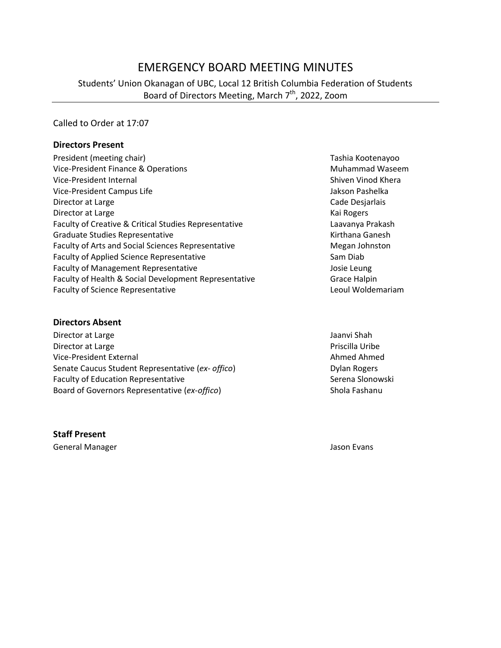# EMERGENCY BOARD MEETING MINUTES

Students' Union Okanagan of UBC, Local 12 British Columbia Federation of Students Board of Directors Meeting, March 7<sup>th</sup>, 2022, Zoom

Called to Order at 17:07

#### **Directors Present**

| President (meeting chair)                             | Tashia Ko  |
|-------------------------------------------------------|------------|
| Vice-President Finance & Operations                   | Muhamm     |
| Vice-President Internal                               | Shiven Vi  |
| Vice-President Campus Life                            | Jakson Pa  |
| Director at Large                                     | Cade Des   |
| Director at Large                                     | Kai Roger  |
| Faculty of Creative & Critical Studies Representative | Laavanya   |
| <b>Graduate Studies Representative</b>                | Kirthana   |
| Faculty of Arts and Social Sciences Representative    | Megan Jo   |
| <b>Faculty of Applied Science Representative</b>      | Sam Diab   |
| <b>Faculty of Management Representative</b>           | Josie Leur |
| Faculty of Health & Social Development Representative | Grace Ha   |
| <b>Faculty of Science Representative</b>              | Leoul Wo   |

**Directors Absent**

Director at Large Jaanvi Shah Jaanvi Shah Jaanvi Shah Jaanvi Shah Jaanvi Shah Jaanvi Shah Jaanvi Shah Jaanvi Shah Director at Large **Priscilla Uribe** Priscilla Uribe Vice-President External and Ahmed Ahmed Ahmed Ahmed Ahmed Ahmed Ahmed Ahmed Ahmed Ahmed Ahmed Ahmed Ahmed Ahmed Ahmed Ahmed Ahmed Ahmed Ahmed Ahmed Ahmed Ahmed Ahmed Ahmed Ahmed Ahmed Ahmed Ahmed Ahmed Ahmed Ahmed Ahmed Ah Senate Caucus Student Representative (ex- offico) **Dylan Rogers** Dylan Rogers Faculty of Education Representative **Serena Slonowski** Serena Slonowski Board of Governors Representative (*ex-offico*) Shola Fashanu

**Staff Present**

General Manager **Jason Evans** Jason Evans

Tashia Kootenayoo **Muhammad Waseem** Shiven Vinod Khera Jakson Pashelka Cade Desjarlais Kai Rogers Laavanya Prakash Kirthana Ganesh Megan Johnston Josie Leung Grace Halpin Leoul Woldemariam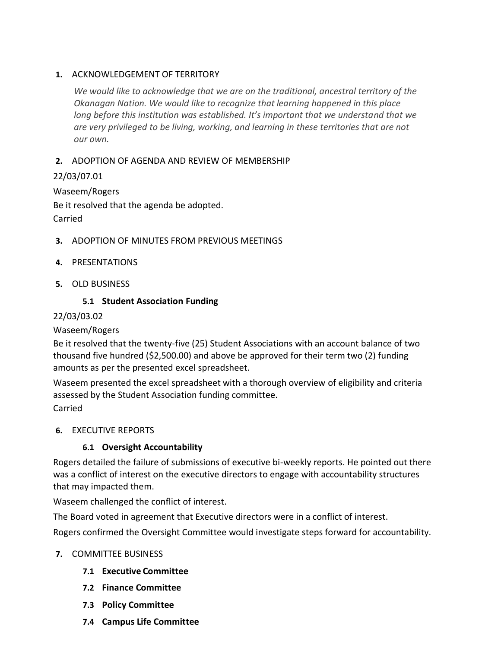#### **1.** ACKNOWLEDGEMENT OF TERRITORY

*We would like to acknowledge that we are on the traditional, ancestral territory of the Okanagan Nation. We would like to recognize that learning happened in this place long before this institution was established. It's important that we understand that we are very privileged to be living, working, and learning in these territories that are not our own.*

## **2.** ADOPTION OF AGENDA AND REVIEW OF MEMBERSHIP

# 22/03/07.01

Waseem/Rogers Be it resolved that the agenda be adopted. Carried

- **3.** ADOPTION OF MINUTES FROM PREVIOUS MEETINGS
- **4.** PRESENTATIONS
- **5.** OLD BUSINESS

# **5.1 Student Association Funding**

### 22/03/03.02

#### Waseem/Rogers

Be it resolved that the twenty-five (25) Student Associations with an account balance of two thousand five hundred (\$2,500.00) and above be approved for their term two (2) funding amounts as per the presented excel spreadsheet.

Waseem presented the excel spreadsheet with a thorough overview of eligibility and criteria assessed by the Student Association funding committee. Carried

#### **6.** EXECUTIVE REPORTS

# **6.1 Oversight Accountability**

Rogers detailed the failure of submissions of executive bi-weekly reports. He pointed out there was a conflict of interest on the executive directors to engage with accountability structures that may impacted them.

Waseem challenged the conflict of interest.

The Board voted in agreement that Executive directors were in a conflict of interest.

Rogers confirmed the Oversight Committee would investigate steps forward for accountability.

#### **7.** COMMITTEE BUSINESS

- **7.1 Executive Committee**
- **7.2 Finance Committee**
- **7.3 Policy Committee**
- **7.4 Campus Life Committee**